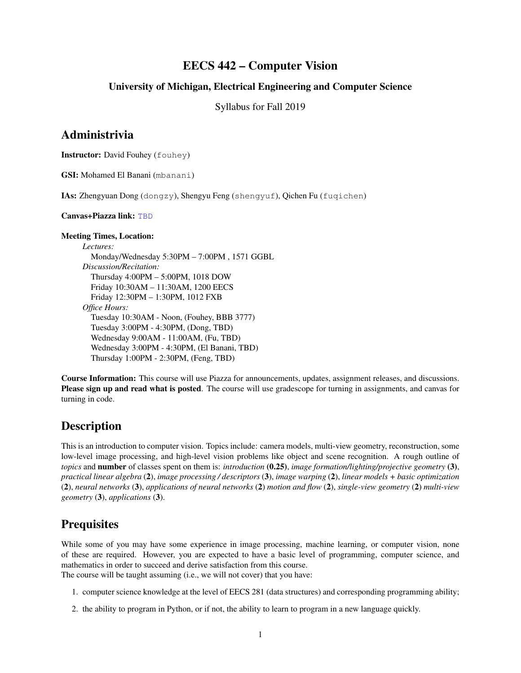#### EECS 442 – Computer Vision

#### University of Michigan, Electrical Engineering and Computer Science

Syllabus for Fall 2019

#### Administrivia

Instructor: David Fouhey (fouhey)

GSI: Mohamed El Banani (mbanani)

IAs: Zhengyuan Dong (dongzy), Shengyu Feng (shengyuf), Qichen Fu (fuqichen)

Canvas+Piazza link: <TBD>

#### Meeting Times, Location:

*Lectures:* Monday/Wednesday 5:30PM – 7:00PM , 1571 GGBL *Discussion/Recitation:* Thursday 4:00PM – 5:00PM, 1018 DOW Friday 10:30AM – 11:30AM, 1200 EECS Friday 12:30PM – 1:30PM, 1012 FXB *Office Hours:* Tuesday 10:30AM - Noon, (Fouhey, BBB 3777) Tuesday 3:00PM - 4:30PM, (Dong, TBD) Wednesday 9:00AM - 11:00AM, (Fu, TBD) Wednesday 3:00PM - 4:30PM, (El Banani, TBD) Thursday 1:00PM - 2:30PM, (Feng, TBD)

Course Information: This course will use Piazza for announcements, updates, assignment releases, and discussions. Please sign up and read what is posted. The course will use gradescope for turning in assignments, and canvas for turning in code.

#### **Description**

This is an introduction to computer vision. Topics include: camera models, multi-view geometry, reconstruction, some low-level image processing, and high-level vision problems like object and scene recognition. A rough outline of *topics* and number of classes spent on them is: *introduction* (0.25), *image formation/lighting/projective geometry* (3), *practical linear algebra* (2), *image processing / descriptors* (3), *image warping* (2), *linear models + basic optimization* (2), *neural networks* (3), *applications of neural networks* (2) *motion and flow* (2), *single-view geometry* (2) *multi-view geometry* (3), *applications* (3).

### **Prequisites**

While some of you may have some experience in image processing, machine learning, or computer vision, none of these are required. However, you are expected to have a basic level of programming, computer science, and mathematics in order to succeed and derive satisfaction from this course.

The course will be taught assuming (i.e., we will not cover) that you have:

- 1. computer science knowledge at the level of EECS 281 (data structures) and corresponding programming ability;
- 2. the ability to program in Python, or if not, the ability to learn to program in a new language quickly.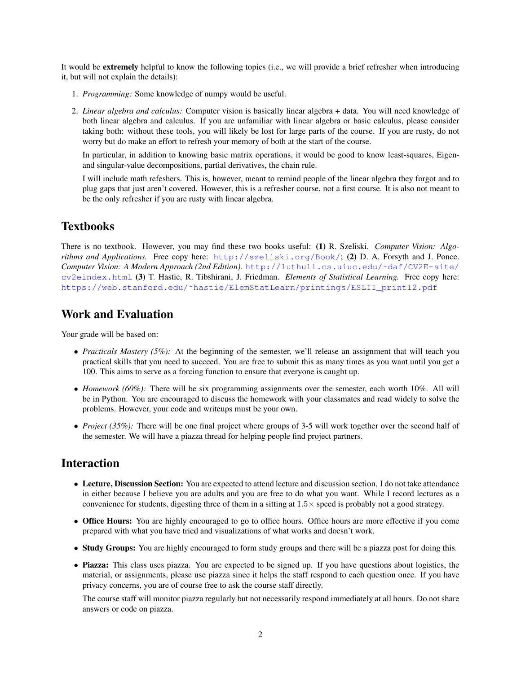It would be extremely helpful to know the following topics (i.e., we will provide a brief refresher when introducing it, but will not explain the details):

- 1. *Programming:* Some knowledge of numpy would be useful.
- 2. *Linear algebra and calculus:* Computer vision is basically linear algebra + data. You will need knowledge of both linear algebra and calculus. If you are unfamiliar with linear algebra or basic calculus, please consider taking both: without these tools, you will likely be lost for large parts of the course. If you are rusty, do not worry but do make an effort to refresh your memory of both at the start of the course.

In particular, in addition to knowing basic matrix operations, it would be good to know least-squares, Eigenand singular-value decompositions, partial derivatives, the chain rule.

I will include math refeshers. This is, however, meant to remind people of the linear algebra they forgot and to plug gaps that just aren't covered. However, this is a refresher course, not a first course. It is also not meant to be the only refresher if you are rusty with linear algebra.

#### **Textbooks**

There is no textbook. However, you may find these two books useful: (1) R. Szeliski. *Computer Vision: Algorithms and Applications.* Free copy here: <http://szeliski.org/Book/>; (2) D. A. Forsyth and J. Ponce. *Computer Vision: A Modern Approach (2nd Edition).* [http://luthuli.cs.uiuc.edu/˜daf/CV2E-site/](http://luthuli.cs.uiuc.edu/~daf/CV2E-site/cv2eindex.html) [cv2eindex.html](http://luthuli.cs.uiuc.edu/~daf/CV2E-site/cv2eindex.html) (3) T. Hastie, R. Tibshirani, J. Friedman. *Elements of Statistical Learning.* Free copy here: [https://web.stanford.edu/˜hastie/ElemStatLearn/printings/ESLII\\_print12.pdf](https://web.stanford.edu/~hastie/ElemStatLearn/printings/ESLII_print12.pdf)

## Work and Evaluation

Your grade will be based on:

- *Practicals Mastery (5%):* At the beginning of the semester, we'll release an assignment that will teach you practical skills that you need to succeed. You are free to submit this as many times as you want until you get a 100. This aims to serve as a forcing function to ensure that everyone is caught up.
- *Homework* (60%): There will be six programming assignments over the semester, each worth 10%. All will be in Python. You are encouraged to discuss the homework with your classmates and read widely to solve the problems. However, your code and writeups must be your own.
- *Project (35%):* There will be one final project where groups of 3-5 will work together over the second half of the semester. We will have a piazza thread for helping people find project partners.

### Interaction

- Lecture, Discussion Section: You are expected to attend lecture and discussion section. I do not take attendance in either because I believe you are adults and you are free to do what you want. While I record lectures as a convenience for students, digesting three of them in a sitting at 1.5× speed is probably not a good strategy.
- Office Hours: You are highly encouraged to go to office hours. Office hours are more effective if you come prepared with what you have tried and visualizations of what works and doesn't work.
- Study Groups: You are highly encouraged to form study groups and there will be a piazza post for doing this.
- Piazza: This class uses piazza. You are expected to be signed up. If you have questions about logistics, the material, or assignments, please use piazza since it helps the staff respond to each question once. If you have privacy concerns, you are of course free to ask the course staff directly.

The course staff will monitor piazza regularly but not necessarily respond immediately at all hours. Do not share answers or code on piazza.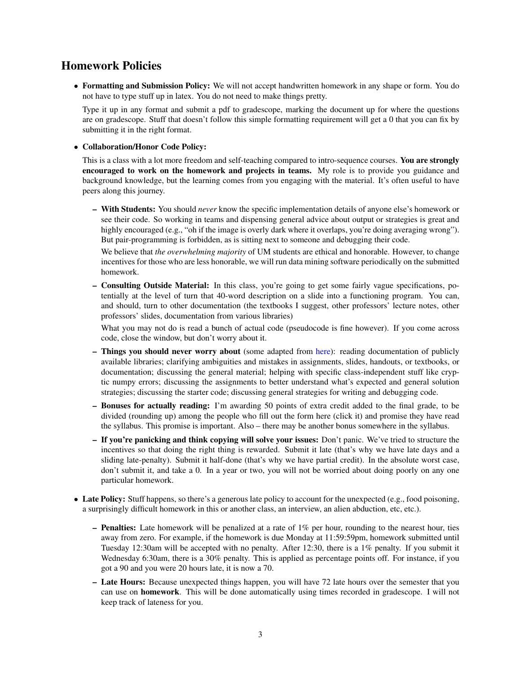#### Homework Policies

• Formatting and Submission Policy: We will not accept handwritten homework in any shape or form. You do not have to type stuff up in latex. You do not need to make things pretty.

Type it up in any format and submit a pdf to gradescope, marking the document up for where the questions are on gradescope. Stuff that doesn't follow this simple formatting requirement will get a 0 that you can fix by submitting it in the right format.

• Collaboration/Honor Code Policy:

This is a class with a lot more freedom and self-teaching compared to intro-sequence courses. You are strongly encouraged to work on the homework and projects in teams. My role is to provide you guidance and background knowledge, but the learning comes from you engaging with the material. It's often useful to have peers along this journey.

– With Students: You should *never* know the specific implementation details of anyone else's homework or see their code. So working in teams and dispensing general advice about output or strategies is great and highly encouraged (e.g., "oh if the image is overly dark where it overlaps, you're doing averaging wrong"). But pair-programming is forbidden, as is sitting next to someone and debugging their code.

We believe that *the overwhelming majority* of UM students are ethical and honorable. However, to change incentives for those who are less honorable, we will run data mining software periodically on the submitted homework.

– Consulting Outside Material: In this class, you're going to get some fairly vague specifications, potentially at the level of turn that 40-word description on a slide into a functioning program. You can, and should, turn to other documentation (the textbooks I suggest, other professors' lecture notes, other professors' slides, documentation from various libraries)

What you may not do is read a bunch of actual code (pseudocode is fine however). If you come across code, close the window, but don't worry about it.

- Things you should never worry about (some adapted from [here\)](https://www.cs.cmu.edu/~211/policy/cheating.html): reading documentation of publicly available libraries; clarifying ambiguities and mistakes in assignments, slides, handouts, or textbooks, or documentation; discussing the general material; helping with specific class-independent stuff like cryptic numpy errors; discussing the assignments to better understand what's expected and general solution strategies; discussing the starter code; discussing general strategies for writing and debugging code.
- Bonuses for actually reading: I'm awarding 50 points of extra credit added to the final grade, to be divided (rounding up) among the people who fill out the form [here \(click it\)](https://forms.gle/ZavrgcJKP1zsPDWT9) and promise they have read the syllabus. This promise is important. Also – there may be another bonus somewhere in the syllabus.
- If you're panicking and think copying will solve your issues: Don't panic. We've tried to structure the incentives so that doing the right thing is rewarded. Submit it late (that's why we have late days and a sliding late-penalty). Submit it half-done (that's why we have partial credit). In the absolute worst case, don't submit it, and take a 0. In a year or two, you will not be worried about doing poorly on any one particular homework.
- Late Policy: Stuff happens, so there's a generous late policy to account for the unexpected (e.g., food poisoning, a surprisingly difficult homework in this or another class, an interview, an alien abduction, etc, etc.).
	- $-$  **Penalties:** Late homework will be penalized at a rate of  $1\%$  per hour, rounding to the nearest hour, ties away from zero. For example, if the homework is due Monday at 11:59:59pm, homework submitted until Tuesday 12:30am will be accepted with no penalty. After 12:30, there is a 1% penalty. If you submit it Wednesday 6:30am, there is a 30% penalty. This is applied as percentage points off. For instance, if you got a 90 and you were 20 hours late, it is now a 70.
	- Late Hours: Because unexpected things happen, you will have 72 late hours over the semester that you can use on homework. This will be done automatically using times recorded in gradescope. I will not keep track of lateness for you.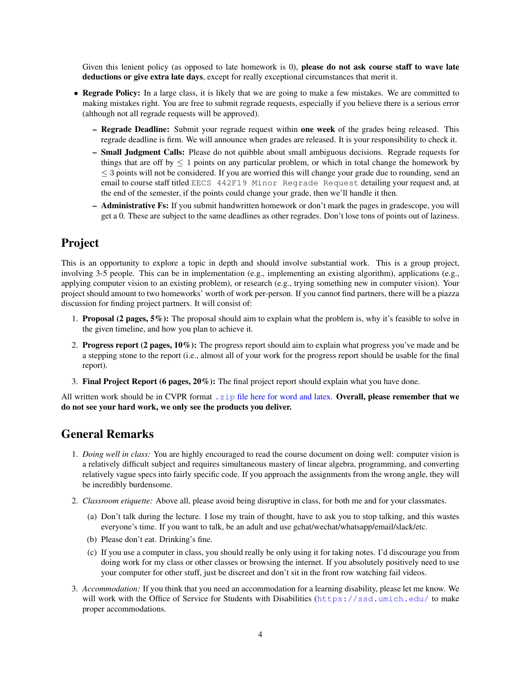Given this lenient policy (as opposed to late homework is 0), **please do not ask course staff to wave late** deductions or give extra late days, except for really exceptional circumstances that merit it.

- Regrade Policy: In a large class, it is likely that we are going to make a few mistakes. We are committed to making mistakes right. You are free to submit regrade requests, especially if you believe there is a serious error (although not all regrade requests will be approved).
	- Regrade Deadline: Submit your regrade request within one week of the grades being released. This regrade deadline is firm. We will announce when grades are released. It is your responsibility to check it.
	- Small Judgment Calls: Please do not quibble about small ambiguous decisions. Regrade requests for things that are off by  $\leq 1$  points on any particular problem, or which in total change the homework by ≤ 3 points will not be considered. If you are worried this will change your grade due to rounding, send an email to course staff titled EECS 442F19 Minor Regrade Request detailing your request and, at the end of the semester, if the points could change your grade, then we'll handle it then.
	- Administrative Fs: If you submit handwritten homework or don't mark the pages in gradescope, you will get a 0. These are subject to the same deadlines as other regrades. Don't lose tons of points out of laziness.

## Project

This is an opportunity to explore a topic in depth and should involve substantial work. This is a group project, involving 3-5 people. This can be in implementation (e.g., implementing an existing algorithm), applications (e.g., applying computer vision to an existing problem), or research (e.g., trying something new in computer vision). Your project should amount to two homeworks' worth of work per-person. If you cannot find partners, there will be a piazza discussion for finding project partners. It will consist of:

- 1. Proposal (2 pages, 5%): The proposal should aim to explain what the problem is, why it's feasible to solve in the given timeline, and how you plan to achieve it.
- 2. Progress report (2 pages, 10%): The progress report should aim to explain what progress you've made and be a stepping stone to the report (i.e., almost all of your work for the progress report should be usable for the final report).
- 3. Final Project Report (6 pages, 20%): The final project report should explain what you have done.

All written work should be in CVPR format . zip [file here for word and latex.](http://cvpr2019.thecvf.com/files/cvpr2019AuthorKit.zip) Overall, please remember that we do not see your hard work, we only see the products you deliver.

# General Remarks

- 1. *Doing well in class:* You are highly encouraged to read the course document on doing well: computer vision is a relatively difficult subject and requires simultaneous mastery of linear algebra, programming, and converting relatively vague specs into fairly specific code. If you approach the assignments from the wrong angle, they will be incredibly burdensome.
- 2. *Classroom etiquette:* Above all, please avoid being disruptive in class, for both me and for your classmates.
	- (a) Don't talk during the lecture. I lose my train of thought, have to ask you to stop talking, and this wastes everyone's time. If you want to talk, be an adult and use gchat/wechat/whatsapp/email/slack/etc.
	- (b) Please don't eat. Drinking's fine.
	- (c) If you use a computer in class, you should really be only using it for taking notes. I'd discourage you from doing work for my class or other classes or browsing the internet. If you absolutely positively need to use your computer for other stuff, just be discreet and don't sit in the front row watching fail videos.
- 3. *Accommodation:* If you think that you need an accommodation for a learning disability, please let me know. We will work with the Office of Service for Students with Disabilities (<https://ssd.umich.edu/> to make proper accommodations.